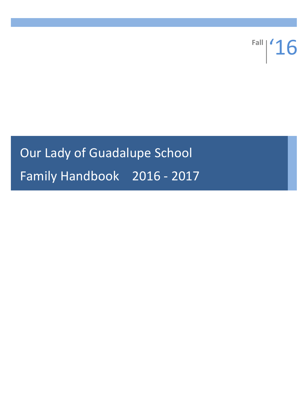**Fall** '16

# Our Lady of Guadalupe School Family Handbook 2016 - 2017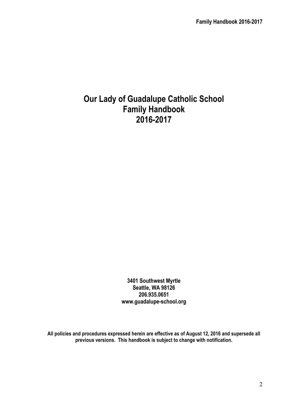# **Our Lady of Guadalupe Catholic School Family Handbook 2016-2017**

**3401 Southwest Myrtle Seattle, WA 98126 206.935.0651 www.guadalupe-school.org**

**All policies and procedures expressed herein are effective as of August 12, 2016 and supersede all previous versions. This handbook is subject to change with notification.**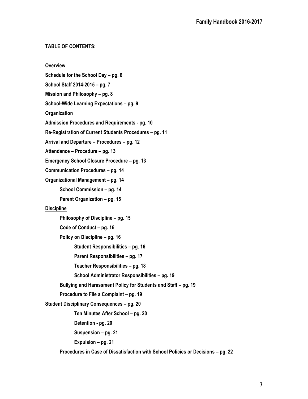# **TABLE OF CONTENTS:**

**Overview Schedule for the School Day – pg. 6 School Staff 2014-2015 – pg. 7 Mission and Philosophy – pg. 8 School-Wide Learning Expectations – pg. 9 Organization Admission Procedures and Requirements - pg. 10 Re-Registration of Current Students Procedures – pg. 11 Arrival and Departure – Procedures – pg. 12 Attendance – Procedure – pg. 13 Emergency School Closure Procedure – pg. 13 Communication Procedures – pg. 14 Organizational Management – pg. 14 School Commission – pg. 14 Parent Organization – pg. 15 Discipline Philosophy of Discipline – pg. 15 Code of Conduct – pg. 16 Policy on Discipline – pg. 16 Student Responsibilities – pg. 16 Parent Responsibilities – pg. 17 Teacher Responsibilities – pg. 18 School Administrator Responsibilities – pg. 19 Bullying and Harassment Policy for Students and Staff – pg. 19 Procedure to File a Complaint – pg. 19 Student Disciplinary Consequences – pg. 20 Ten Minutes After School – pg. 20 Detention - pg. 20 Suspension – pg. 21 Expulsion – pg. 21 Procedures in Case of Dissatisfaction with School Policies or Decisions – pg. 22**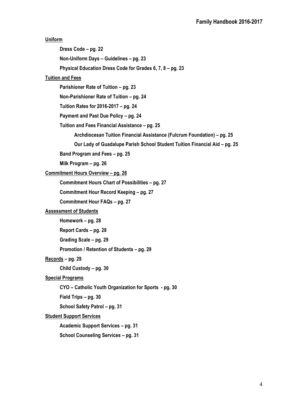**Uniform Dress Code – pg. 22 Non-Uniform Days – Guidelines – pg. 23 Physical Education Dress Code for Grades 6, 7, 8 – pg. 23 Tuition and Fees Parishioner Rate of Tuition – pg. 23 Non-Parishioner Rate of Tuition – pg. 24 Tuition Rates for 2016-2017 – pg. 24 Payment and Past Due Policy – pg. 24 Tuition and Fees Financial Assistance – pg. 25 Archdiocesan Tuition Financial Assistance (Fulcrum Foundation) – pg. 25 Our Lady of Guadalupe Parish School Student Tuition Financial Aid – pg. 25 Band Program and Fees – pg. 25 Milk Program – pg. 26 Commitment Hours Overview – pg. 26 Commitment Hours Chart of Possibilities – pg. 27 Commitment Hour Record Keeping – pg. 27 Commitment Hour FAQs – pg. 27 Assessment of Students Homework – pg. 28 Report Cards – pg. 28 Grading Scale – pg. 29 Promotion / Retention of Students – pg. 29 Records – pg. 29 Child Custody – pg. 30 Special Programs CYO – Catholic Youth Organization for Sports - pg. 30 Field Trips – pg. 30 School Safety Patrol – pg. 31 Student Support Services Academic Support Services – pg. 31 School Counseling Services – pg. 31**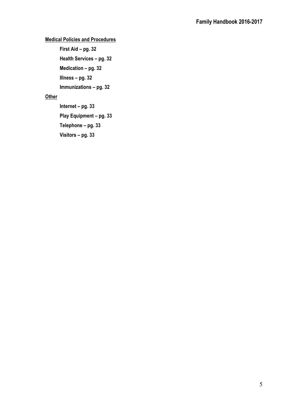# **Medical Policies and Procedures**

**First Aid – pg. 32 Health Services – pg. 32 Medication – pg. 32 Illness – pg. 32**

**Immunizations – pg. 32**

# **Other**

**Internet – pg. 33 Play Equipment – pg. 33 Telephone – pg. 33 Visitors – pg. 33**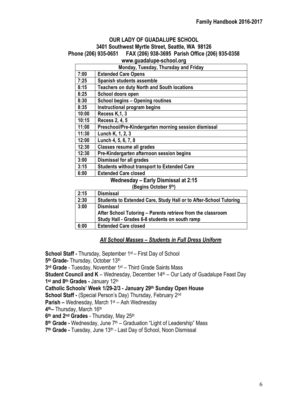# **OUR LADY OF GUADALUPE SCHOOL 3401 Southwest Myrtle Street, Seattle, WA 98126 Phone (206) 935-0651 FAX (206) 938-3695 Parish Office (206) 935-0358**

# **www.guadalupe-school.org**

|                                            | Monday, Tuesday, Thursday and Friday                 |  |  |
|--------------------------------------------|------------------------------------------------------|--|--|
| 7:00                                       | <b>Extended Care Opens</b>                           |  |  |
| 7:25                                       | Spanish students assemble                            |  |  |
| 8:15                                       | <b>Teachers on duty North and South locations</b>    |  |  |
| 8:25                                       | School doors open                                    |  |  |
| 8:30                                       | <b>School begins - Opening routines</b>              |  |  |
| 8:35                                       | Instructional program begins                         |  |  |
| 10:00                                      | Recess K, 1, 3                                       |  |  |
| 10:15                                      | Recess 2, 4, 5                                       |  |  |
| 11:00                                      | Preschool/Pre-Kindergarten morning session dismissal |  |  |
| 11:30                                      | Lunch K, 1, 2, 3                                     |  |  |
| 12:00                                      | Lunch 4, 5, 6, 7, 8                                  |  |  |
| 12:30                                      | <b>Classes resume all grades</b>                     |  |  |
| 12:30                                      | Pre-Kindergarten afternoon session begins            |  |  |
| 3:00                                       | <b>Dismissal for all grades</b>                      |  |  |
| 3:15                                       | <b>Students without transport to Extended Care</b>   |  |  |
| 6:00                                       | <b>Extended Care closed</b>                          |  |  |
| <b>Wednesday - Early Dismissal at 2:15</b> |                                                      |  |  |

#### **(Begins October 5th)**

| 2:15 | <b>Dismissal</b>                                                  |
|------|-------------------------------------------------------------------|
| 2:30 | Students to Extended Care, Study Hall or to After-School Tutoring |
| 3:00 | <b>Dismissal</b>                                                  |
|      | After School Tutoring - Parents retrieve from the classroom       |
|      | Study Hall - Grades 6-8 students on south ramp                    |
| 6:00 | <b>Extended Care closed</b>                                       |

# *All School Masses – Students in Full Dress Uniform*

**School Staff -** Thursday, September 1<sup>st</sup> – First Day of School 5<sup>th</sup> Grade- Thursday, October 13<sup>th</sup> **3rd Grade** - Tuesday, November 1st – Third Grade Saints Mass **Student Council and K** – Wednesday, December 14<sup>th</sup> – Our Lady of Guadalupe Feast Day 1<sup>st</sup> and 8<sup>th</sup> Grades - January 12<sup>th</sup> **Catholic Schools' Week 1/29-2/3 - January 29th Sunday Open House School Staff -** (Special Person's Day) Thursday, February 2nd **Parish –** Wednesday, March 1st – Ash Wednesday **4th–** Thursday, March 16th **6th and 2nd Grades** - Thursday, May 25th **8th Grade -** Wednesday, June 7th – Graduation "Light of Leadership" Mass 7<sup>th</sup> Grade - Tuesday, June 13<sup>th</sup> - Last Day of School, Noon Dismissal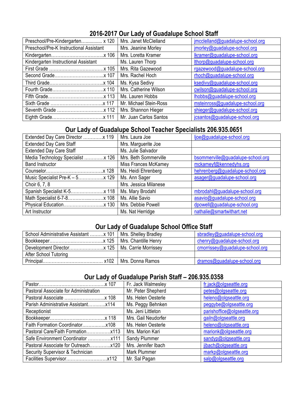# **2016-2017 Our Lady of Guadalupe School Staff**

| Preschool/Pre-Kindergarten x 120        | Mrs. Janet McClelland  | jmcclelland@guadalupe-school.org |
|-----------------------------------------|------------------------|----------------------------------|
| Preschool/Pre-K Instructional Assistant | Mrs. Jeanine Morley    | jmorley@guadalupe-school.org     |
|                                         | Mrs. Loretta Kramer    | lkramer@guadalupe-school.org     |
| Kindergarten Instructional Assistant    | Ms. Lauren Thorp       | lthorp@guadalupe-school.org      |
|                                         | Mrs. Rita Gazewood     | rgazewood@guadalupe-school.org   |
|                                         | Mrs. Rachel Hoch       | rhoch@guadalupe-school.org       |
|                                         | Ms. Kysa Sedivy        | ksedivy@guadalupe-school.org     |
|                                         | Mrs. Catherine Wilson  | cwilson@guadalupe-school.org     |
|                                         |                        | lhobbs@guadalupe-school.org      |
|                                         | Mr. Michael Stein-Ross | msteinross@guadalupe-school.org  |
|                                         |                        | shieger@guadalupe-school.org     |
|                                         |                        | jcsantos@guadalupe-school.org    |

# **Our Lady of Guadalupe School Teacher Specialists 206.935.0651**

| Extended Day Care Director  119  | Mrs. Laura Joe        | ljoe@guadalupe-school.org         |
|----------------------------------|-----------------------|-----------------------------------|
| <b>Extended Day Care Staff</b>   | Mrs. Marguerite Joe   |                                   |
| <b>Extended Day Care Staff</b>   | Ms. Julie Salvador    |                                   |
| Media Technology Specialist  126 | Mrs. Beth Sommerville | bsommerville@guadalupe-school.org |
| <b>Band Instructor</b>           | Miss Frances McKamey  | mckameyf@kennedyhs.org            |
|                                  | Ms. Heidi Ehrenberg   | hehrenberg@guadalupe-school.org   |
|                                  | Ms. Ann Sager         | asager@guadalupe-school.org       |
| Choir 6, 7, 8                    | Mrs. Jessica Milanese |                                   |
|                                  | Ms. Mary Brodahl      | mbrodahl@guadalupe-school.org     |
|                                  | Ms. Allie Savio       | asavio@guadalupe-school.org       |
|                                  | Mrs. Debbie Powell    | dpowell@guadalupe-school.org      |
| Art Instructor                   | Ms. Nat Herridge      | nathalie@smartwithart.net         |

# **Our Lady of Guadalupe School Office Staff**

| School Administrative Assistant  x 101   Mrs. Shelley Bradley |                      | sbradley@guadalupe-school.org   |
|---------------------------------------------------------------|----------------------|---------------------------------|
|                                                               | Mrs. Chantille Henry | chenry@guadalupe-school.org     |
|                                                               |                      | cmorrissey@guadalupe-school.org |
| After School Tutoring                                         |                      |                                 |
| x102<br>Principal                                             | Mrs. Donna Ramos     | dramos@guadalupe-school.org     |

# **Our Lady of Guadalupe Parish Staff – 206.935.0358**

|                                       | Fr. Jack Walmesley  | fr.jack@olgseattle.org      |
|---------------------------------------|---------------------|-----------------------------|
| Pastoral Associate for Administration | Mr. Peter Shepherd  | petes@olgseattle.org        |
|                                       | Ms. Helen Oesterle  | heleno@olgseattle.org       |
|                                       | Ms. Peggy Behnken   | peggybe@olgseattle.org      |
| Receptionist                          | Ms. Jeni Littleton  | parishoffice@olgseattle.org |
|                                       | Mrs. Gail Neudorfer | gailn@olgseattle.org        |
|                                       | Ms. Helen Oesterle  | heleno@olgseattle.org       |
|                                       | Mrs. Marion Kari    | marionk@olgseattle.org      |
|                                       | Sandy Plummer       | sandyp@olgseattle.org       |
| Pastoral Associate for Outreachx120   | Mrs. Jennifer Ibach | jibach@olgseattle.org       |
| Security Supervisor & Technician      | Mark Plummer        | markp@olgseattle.org        |
|                                       | Mr. Sal Pagan       | salp@olgseattle.org         |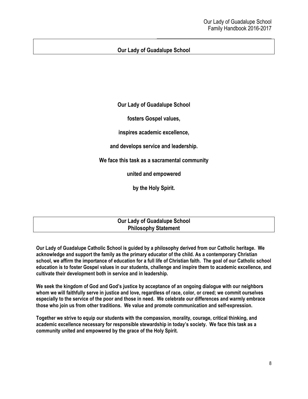# **Our Lady of Guadalupe School**

**Our Lady of Guadalupe School**

**fosters Gospel values,**

**inspires academic excellence,**

**and develops service and leadership.**

**We face this task as a sacramental community**

**united and empowered**

**by the Holy Spirit.**

**Our Lady of Guadalupe School Philosophy Statement**

**Our Lady of Guadalupe Catholic School is guided by a philosophy derived from our Catholic heritage. We acknowledge and support the family as the primary educator of the child. As a contemporary Christian school, we affirm the importance of education for a full life of Christian faith. The goal of our Catholic school education is to foster Gospel values in our students, challenge and inspire them to academic excellence, and cultivate their development both in service and in leadership.**

**We seek the kingdom of God and God's justice by acceptance of an ongoing dialogue with our neighbors whom we will faithfully serve in justice and love, regardless of race, color, or creed; we commit ourselves especially to the service of the poor and those in need. We celebrate our differences and warmly embrace those who join us from other traditions. We value and promote communication and self-expression.**

**Together we strive to equip our students with the compassion, morality, courage, critical thinking, and academic excellence necessary for responsible stewardship in today's society. We face this task as a community united and empowered by the grace of the Holy Spirit.**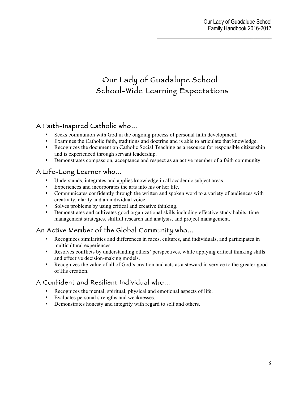# Our Lady of Guadalupe School School-Wide Learning Expectations

# A Faith-Inspired Catholic who**…**

- Seeks communion with God in the ongoing process of personal faith development.
- Examines the Catholic faith, traditions and doctrine and is able to articulate that knowledge.
- Recognizes the document on Catholic Social Teaching as a resource for responsible citizenship and is experienced through servant leadership.
- Demonstrates compassion, acceptance and respect as an active member of a faith community.

# A Life-Long Learner who…

- Understands, integrates and applies knowledge in all academic subject areas.
- Experiences and incorporates the arts into his or her life.
- Communicates confidently through the written and spoken word to a variety of audiences with creativity, clarity and an individual voice.
- Solves problems by using critical and creative thinking.
- Demonstrates and cultivates good organizational skills including effective study habits, time management strategies, skillful research and analysis, and project management.

# An Active Member of the Global Community who…

- Recognizes similarities and differences in races, cultures, and individuals, and participates in multicultural experiences.
- Resolves conflicts by understanding others' perspectives, while applying critical thinking skills and effective decision-making models.
- Recognizes the value of all of God's creation and acts as a steward in service to the greater good of His creation.

# A Confident and Resilient Individual who…

- Recognizes the mental, spiritual, physical and emotional aspects of life.
- Evaluates personal strengths and weaknesses.
- Demonstrates honesty and integrity with regard to self and others.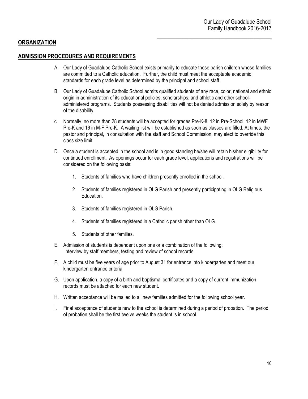# **ORGANIZATION**

### **ADMISSION PROCEDURES AND REQUIREMENTS**

- A. Our Lady of Guadalupe Catholic School exists primarily to educate those parish children whose families are committed to a Catholic education. Further, the child must meet the acceptable academic standards for each grade level as determined by the principal and school staff.
- B. Our Lady of Guadalupe Catholic School admits qualified students of any race, color, national and ethnic origin in administration of its educational policies, scholarships, and athletic and other schooladministered programs. Students possessing disabilities will not be denied admission solely by reason of the disability.
- C. Normally, no more than 28 students will be accepted for grades Pre-K-8, 12 in Pre-School, 12 in MWF Pre-K and 16 in M-F Pre-K. A waiting list will be established as soon as classes are filled. At times, the pastor and principal, in consultation with the staff and School Commission, may elect to override this class size limit.
- D. Once a student is accepted in the school and is in good standing he/she will retain his/her eligibility for continued enrollment. As openings occur for each grade level, applications and registrations will be considered on the following basis:
	- 1. Students of families who have children presently enrolled in the school.
	- 2. Students of families registered in OLG Parish and presently participating in OLG Religious Education.
	- 3. Students of families registered in OLG Parish.
	- 4. Students of families registered in a Catholic parish other than OLG.
	- 5. Students of other families.
- E. Admission of students is dependent upon one or a combination of the following: interview by staff members, testing and review of school records.
- F. A child must be five years of age prior to August 31 for entrance into kindergarten and meet our kindergarten entrance criteria.
- G. Upon application, a copy of a birth and baptismal certificates and a copy of current immunization records must be attached for each new student.
- H. Written acceptance will be mailed to all new families admitted for the following school year.
- I. Final acceptance of students new to the school is determined during a period of probation. The period of probation shall be the first twelve weeks the student is in school.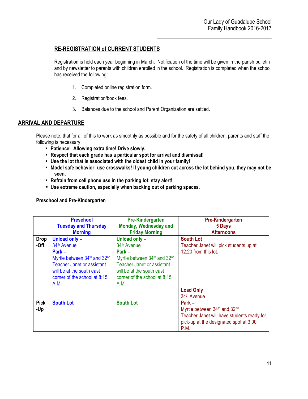# **RE-REGISTRATION of CURRENT STUDENTS**

Registration is held each year beginning in March. Notification of the time will be given in the parish bulletin and by newsletter to parents with children enrolled in the school. Registration is completed when the school has received the following:

- 1. Completed online registration form.
- 2. Registration/book fees.
- 3. Balances due to the school and Parent Organization are settled.

# **ARRIVAL AND DEPARTURE**

Please note, that for all of this to work as smoothly as possible and for the safety of all children, parents and staff the following is necessary:

- ! **Patience! Allowing extra time! Drive slowly.**
- ! **Respect that each grade has a particular spot for arrival and dismissal!**
- ! **Use the lot that is associated with the oldest child in your family!**
- ! **Model safe behavior; use crosswalks! If young children cut across the lot behind you, they may not be seen.**
- ! **Refrain from cell phone use in the parking lot; stay alert!**
- ! **Use extreme caution, especially when backing out of parking spaces.**

#### **Preschool and Pre-Kindergarten**

|                       | <b>Preschool</b><br><b>Tuesday and Thursday</b><br><b>Morning</b>                                                                                                                              | <b>Pre-Kindergarten</b><br>Monday, Wednesday and<br><b>Friday Morning</b>                                                                                                                      | <b>Pre-Kindergarten</b><br>5 Days<br><b>Afternoons</b>                                                                                                                                  |
|-----------------------|------------------------------------------------------------------------------------------------------------------------------------------------------------------------------------------------|------------------------------------------------------------------------------------------------------------------------------------------------------------------------------------------------|-----------------------------------------------------------------------------------------------------------------------------------------------------------------------------------------|
| <b>Drop</b><br>$-Off$ | Unload only -<br>34 <sup>th</sup> Avenue<br>$Park -$<br>Myrtle between 34th and 32nd<br><b>Teacher Janet or assistant</b><br>will be at the south east<br>corner of the school at 8:15<br>A.M. | Unload only -<br>34 <sup>th</sup> Avenue<br>$Park -$<br>Myrtle between 34th and 32nd<br><b>Teacher Janet or assistant</b><br>will be at the south east<br>corner of the school at 8:15<br>A.M. | <b>South Lot</b><br>Teacher Janet will pick students up at<br>12:20 from this lot.                                                                                                      |
| <b>Pick</b><br>-Up    | <b>South Lot</b>                                                                                                                                                                               | <b>South Lot</b>                                                                                                                                                                               | <b>Load Only</b><br>34 <sup>th</sup> Avenue<br>$Park -$<br>Myrtle between 34th and 32nd<br>Teacher Janet will have students ready for<br>pick-up at the designated spot at 3:00<br>P.M. |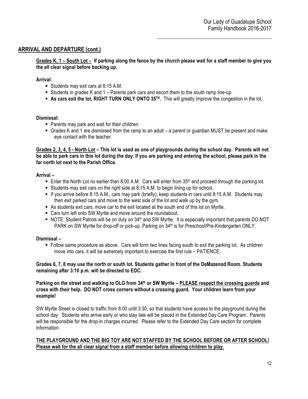# **ARRIVAL AND DEPARTURE (cont.)**

**Grades K, 1 – South Lot – If parking along the fence by the church please wait for a staff member to give you the all clear signal before backing up.**

#### **Arrival:**

- ! Students may exit cars at 8:15 A.M.
- ! Students in grades K and 1 Parents park cars and escort them to the south ramp line-up.
- ! **As cars exit the lot, RIGHT TURN ONLY ONTO 35TH.** This will greatly improve the congestion in the lot.

#### **Dismissal:**

- ! Parents may park and wait for their children.
- ! Grades K and 1 are dismissed from the ramp to an adult a parent or guardian MUST be present and make eye contact with the teacher.

**Grades 2, 3, 4, 5 - North Lot – This lot is used as one of playgrounds during the school day. Parents will not be able to park cars in this lot during the day. If you are parking and entering the school, please park in the far north lot next to the Parish Office.** 

#### **Arrival –**

- **Enter the North Lot no earlier than 8:00 A.M.** Cars will enter from 35<sup>th</sup> and proceed through the parking lot.
- ! Students may exit cars on the right side at 8:15 A.M. to begin lining up for school.
- ! If you arrive before 8:15 A.M., cars may park (briefly); keep students in cars until 8:15 A.M. Students may then exit parked cars and move to the west side of the lot and walk up by the gym.
- ! As students exit cars, move car to the exit located at the south end of this lot on Myrtle.
- ! Cars turn left onto SW Myrtle and move around the roundabout.
- . NOTE: Student Patrols will be on duty on 34<sup>th</sup> and SW Myrtle. It is especially important that parents DO NOT PARK on SW Myrtle for drop-off or pick-up. Parking on 34<sup>th</sup> is for Preschool/Pre-Kindergarten ONLY.

#### **Dismissal –**

! Follow same procedure as above. Cars will form two lines facing south to exit the parking lot. As children move into cars, it will be extremely important to exercise the first rule – PATIENCE.

#### **Grades 6, 7, 8 may use the north or south lot. Students gather in front of the DeMazenod Room. Students remaining after 3:10 p.m. will be directed to EDC.**

**Parking on the street and walking to OLG from 34th or SW Myrtle – PLEASE respect the crossing guards and cross with their help. DO NOT cross corners without a crossing guard. Your children learn from your example!**

SW Myrtle Street is closed to traffic from 8:00 until 3:30, so that students have access to the playground during the school day. Students who arrive early or who stay late will be placed in the Extended Day Care Program. Parents will be responsible for the drop-in charges incurred. Please refer to the Extended Day Care section for complete information.

#### **THE PLAYGROUND AND THE BIG TOY ARE NOT STAFFED BY THE SCHOOL BEFORE OR AFTER SCHOOL! Please wait for the all clear signal from a staff member before allowing children to play.**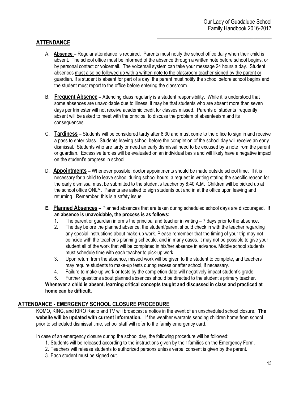# **ATTENDANCE**

- A. **Absence –** Regular attendance is required. Parents must notify the school office daily when their child is absent. The school office must be informed of the absence through a written note before school begins, or by personal contact or voicemail. The voicemail system can take your message 24 hours a day. Student absences must also be followed up with a written note to the classroom teacher signed by the parent or guardian. If a student is absent for part of a day, the parent must notify the school before school begins and the student must report to the office before entering the classroom.
- B. **Frequent Absence –** Attending class regularly is a student responsibility. While it is understood that some absences are unavoidable due to illness, it may be that students who are absent more than seven days per trimester will not receive academic credit for classes missed. Parents of students frequently absent will be asked to meet with the principal to discuss the problem of absenteeism and its consequences.
- C. **Tardiness** Students will be considered tardy after 8:30 and must come to the office to sign in and receive a pass to enter class. Students leaving school before the completion of the school day will receive an early dismissal. Students who are tardy or need an early dismissal need to be excused by a note from the parent or guardian. Excessive tardies will be evaluated on an individual basis and will likely have a negative impact on the student's progress in school.
- D. **Appointments –** Whenever possible, doctor appointments should be made outside school time. If it is necessary for a child to leave school during school hours, a request in writing stating the specific reason for the early dismissal must be submitted to the student's teacher by 8:40 A.M. Children will be picked up at the school office ONLY. Parents are asked to sign students out and in at the office upon leaving and returning. Remember, this is a safety issue.
- **E. Planned Absences –** Planned absences that are taken during scheduled school days are discouraged. **If an absence is unavoidable, the process is as follows:**
	- 1. The parent or guardian informs the principal and teacher in writing 7 days prior to the absence.
	- 2. The day before the planned absence, the student/parent should check in with the teacher regarding any special instructions about make-up work. Please remember that the timing of your trip may not coincide with the teacher's planning schedule, and in many cases, it may not be possible to give your student all of the work that will be completed in his/her absence in advance. Middle school students must schedule time with each teacher to pick-up work.
	- 3. Upon return from the absence, missed work will be given to the student to complete, and teachers may require students to make-up tests during recess or after school, if necessary.
	- 4. Failure to make-up work or tests by the completion date will negatively impact student's grade.
	- 5. Further questions about planned absences should be directed to the student's primary teacher.

**Whenever a child is absent, learning critical concepts taught and discussed in class and practiced at home can be difficult.**

# **ATTENDANCE - EMERGENCY SCHOOL CLOSURE PROCEDURE**

KOMO, KING, and KIRO Radio and TV will broadcast a notice in the event of an unscheduled school closure. **The website will be updated with current information.** If the weather warrants sending children home from school prior to scheduled dismissal time, school staff will refer to the family emergency card.

In case of an emergency closure during the school day, the following procedure will be followed:

- 1. Students will be released according to the instructions given by their families on the Emergency Form.
- 2. Teachers will release students to authorized persons unless verbal consent is given by the parent.
- 3. Each student must be signed out.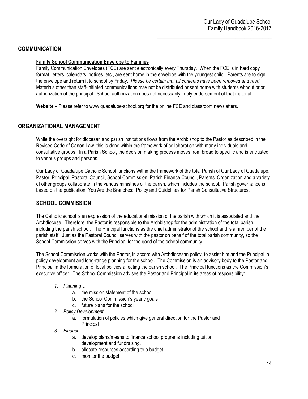# **COMMUNICATION**

#### **Family School Communication Envelope to Families**

Family Communication Envelopes (FCE) are sent electronically every Thursday. When the FCE is in hard copy format, letters, calendars, notices, etc., are sent home in the envelope with the youngest child. Parents are to sign the envelope and return it to school by Friday. *Please be certain that all contents have been removed and read*. Materials other than staff-initiated communications may not be distributed or sent home with students without prior authorization of the principal. School authorization does not necessarily imply endorsement of that material.

**Website –** Please refer to www.guadalupe-school.org for the online FCE and classroom newsletters.

# **ORGANIZATIONAL MANAGEMENT**

While the oversight for diocesan and parish institutions flows from the Archbishop to the Pastor as described in the Revised Code of Canon Law, this is done within the framework of collaboration with many individuals and consultative groups. In a Parish School, the decision making process moves from broad to specific and is entrusted to various groups and persons.

Our Lady of Guadalupe Catholic School functions within the framework of the total Parish of Our Lady of Guadalupe. Pastor, Principal, Pastoral Council, School Commission, Parish Finance Council, Parents' Organization and a variety of other groups collaborate in the various ministries of the parish, which includes the school. Parish governance is based on the publication, You Are the Branches: Policy and Guidelines for Parish Consultative Structures.

# **SCHOOL COMMISSION**

The Catholic school is an expression of the educational mission of the parish with which it is associated and the Archdiocese. Therefore, the Pastor is responsible to the Archbishop for the administration of the total parish, including the parish school. The Principal functions as the chief administrator of the school and is a member of the parish staff. Just as the Pastoral Council serves with the pastor on behalf of the total parish community, so the School Commission serves with the Principal for the good of the school community.

The School Commission works with the Pastor, in accord with Archdiocesan policy, to assist him and the Principal in policy development and long-range planning for the school. The Commission is an advisory body to the Pastor and Principal in the formulation of local policies affecting the parish school. The Principal functions as the Commission's executive officer. The School Commission advises the Pastor and Principal in its areas of responsibility:

- *1. Planning…*
	- a. the mission statement of the school
	- b. the School Commission's yearly goals
	- c. future plans for the school
- *2. Policy Development…*
	- a. formulation of policies which give general direction for the Pastor and
	- **Principal**
- *3. Finance…*
	- a. develop plans/means to finance school programs including tuition, development and fundraising.
	- b. allocate resources according to a budget
	- c. monitor the budget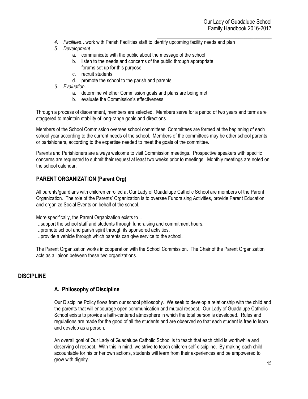- $\mathcal{L}_\text{max}$  and  $\mathcal{L}_\text{max}$  and  $\mathcal{L}_\text{max}$  and  $\mathcal{L}_\text{max}$ *4. Facilities…*work with Parish Facilities staff to identify upcoming facility needs and plan
- *5. Development…*
	- a. communicate with the public about the message of the school
	- b. listen to the needs and concerns of the public through appropriate forums set up for this purpose
	- c. recruit students
	- d. promote the school to the parish and parents
- *6. Evaluation…*
	- a. determine whether Commission goals and plans are being met
	- b. evaluate the Commission's effectiveness

Through a process of discernment, members are selected. Members serve for a period of two years and terms are staggered to maintain stability of long-range goals and directions.

Members of the School Commission oversee school committees. Committees are formed at the beginning of each school year according to the current needs of the school. Members of the committees may be other school parents or parishioners, according to the expertise needed to meet the goals of the committee.

Parents and Parishioners are always welcome to visit Commission meetings. Prospective speakers with specific concerns are requested to submit their request at least two weeks prior to meetings. Monthly meetings are noted on the school calendar.

# **PARENT ORGANIZATION (Parent Org)**

All parents/guardians with children enrolled at Our Lady of Guadalupe Catholic School are members of the Parent Organization. The role of the Parents' Organization is to oversee Fundraising Activities, provide Parent Education and organize Social Events on behalf of the school.

More specifically, the Parent Organization exists to…

…support the school staff and students through fundraising and commitment hours.

…promote school and parish spirit through its sponsored activities.

…provide a vehicle through which parents can give service to the school.

The Parent Organization works in cooperation with the School Commission. The Chair of the Parent Organization acts as a liaison between these two organizations.

# **DISCIPLINE**

# **A. Philosophy of Discipline**

Our Discipline Policy flows from our school philosophy. We seek to develop a relationship with the child and the parents that will encourage open communication and mutual respect. Our Lady of Guadalupe Catholic School exists to provide a faith-centered atmosphere in which the total person is developed. Rules and regulations are made for the good of all the students and are observed so that each student is free to learn and develop as a person.

An overall goal of Our Lady of Guadalupe Catholic School is to teach that each child is worthwhile and deserving of respect. With this in mind, we strive to teach children self-discipline. By making each child accountable for his or her own actions, students will learn from their experiences and be empowered to grow with dignity.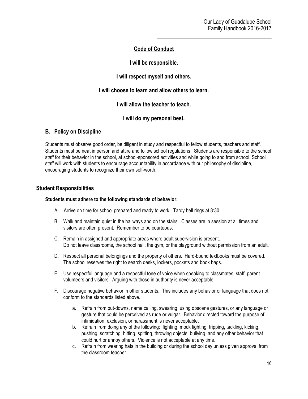# **Code of Conduct**

**I will be responsible.**

**I will respect myself and others.**

**I will choose to learn and allow others to learn.**

**I will allow the teacher to teach.**

**I will do my personal best.**

# **B. Policy on Discipline**

Students must observe good order, be diligent in study and respectful to fellow students, teachers and staff. Students must be neat in person and attire and follow school regulations. Students are responsible to the school staff for their behavior in the school, at school-sponsored activities and while going to and from school. School staff will work with students to encourage accountability in accordance with our philosophy of discipline, encouraging students to recognize their own self-worth.

#### **Student Responsibilities**

#### **Students must adhere to the following standards of behavior:**

- A. Arrive on time for school prepared and ready to work. Tardy bell rings at 8:30.
- B. Walk and maintain quiet in the hallways and on the stairs. Classes are in session at all times and visitors are often present. Remember to be courteous.
- C. Remain in assigned and appropriate areas where adult supervision is present. Do not leave classrooms, the school hall, the gym, or the playground without permission from an adult.
- D. Respect all personal belongings and the property of others. Hard-bound textbooks must be covered. The school reserves the right to search desks, lockers, pockets and book bags.
- E. Use respectful language and a respectful tone of voice when speaking to classmates, staff, parent volunteers and visitors. Arguing with those in authority is never acceptable.
- F. Discourage negative behavior in other students. This includes any behavior or language that does not conform to the standards listed above.
	- a. Refrain from put-downs, name calling, swearing, using obscene gestures, or any language or gesture that could be perceived as rude or vulgar. Behavior directed toward the purpose of intimidation, exclusion, or harassment is never acceptable.
	- b. Refrain from doing any of the following: fighting, mock fighting, tripping, tackling, kicking, pushing, scratching, hitting, spitting, throwing objects, bullying, and any other behavior that could hurt or annoy others. Violence is not acceptable at any time.
	- c. Refrain from wearing hats in the building or during the school day unless given approval from the classroom teacher.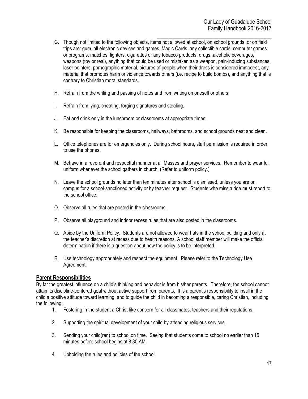- G. Though not limited to the following objects, items not allowed at school, on school grounds, or on field trips are: gum, all electronic devices and games, Magic Cards, any collectible cards, computer games or programs, matches, lighters, cigarettes or any tobacco products, drugs, alcoholic beverages, weapons (toy or real), anything that could be used or mistaken as a weapon, pain-inducing substances, laser pointers, pornographic material, pictures of people when their dress is considered immodest, any material that promotes harm or violence towards others (i.e. recipe to build bombs), and anything that is contrary to Christian moral standards.
- H. Refrain from the writing and passing of notes and from writing on oneself or others.
- I. Refrain from lying, cheating, forging signatures and stealing.
- J. Eat and drink only in the lunchroom or classrooms at appropriate times.
- K. Be responsible for keeping the classrooms, hallways, bathrooms, and school grounds neat and clean.
- L. Office telephones are for emergencies only. During school hours, staff permission is required in order to use the phones.
- M. Behave in a reverent and respectful manner at all Masses and prayer services. Remember to wear full uniform whenever the school gathers in church. (Refer to uniform policy.)
- N. Leave the school grounds no later than ten minutes after school is dismissed, unless you are on campus for a school-sanctioned activity or by teacher request. Students who miss a ride must report to the school office.
- O. Observe all rules that are posted in the classrooms.
- P. Observe all playground and indoor recess rules that are also posted in the classrooms.
- Q. Abide by the Uniform Policy. Students are not allowed to wear hats in the school building and only at the teacher's discretion at recess due to health reasons. A school staff member will make the official determination if there is a question about how the policy is to be interpreted.
- R. Use technology appropriately and respect the equipment. Please refer to the Technology Use Agreement.

# **Parent Responsibilities**

By far the greatest influence on a child's thinking and behavior is from his/her parents. Therefore, the school cannot attain its discipline-centered goal without active support from parents. It is a parent's responsibility to instill in the child a positive attitude toward learning, and to guide the child in becoming a responsible, caring Christian, including the following:

- 1. Fostering in the student a Christ-like concern for all classmates, teachers and their reputations.
- 2. Supporting the spiritual development of your child by attending religious services.
- 3. Sending your child(ren) to school on time. Seeing that students come to school no earlier than 15 minutes before school begins at 8:30 AM.
- 4. Upholding the rules and policies of the school.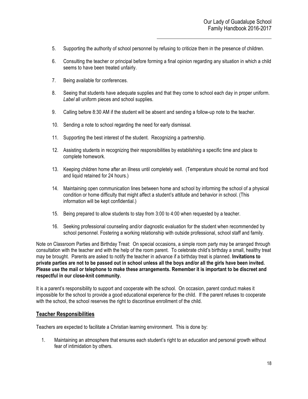- 5. Supporting the authority of school personnel by refusing to criticize them in the presence of children.
- 6. Consulting the teacher or principal before forming a final opinion regarding any situation in which a child seems to have been treated unfairly.
- 7. Being available for conferences.
- 8. Seeing that students have adequate supplies and that they come to school each day in proper uniform. *Label* all uniform pieces and school supplies.
- 9. Calling before 8:30 AM if the student will be absent and sending a follow-up note to the teacher.
- 10. Sending a note to school regarding the need for early dismissal.
- 11. Supporting the best interest of the student. Recognizing a partnership.
- 12. Assisting students in recognizing their responsibilities by establishing a specific time and place to complete homework.
- 13. Keeping children home after an illness until completely well. (Temperature should be normal and food and liquid retained for 24 hours.)
- 14. Maintaining open communication lines between home and school by informing the school of a physical condition or home difficulty that might affect a student's attitude and behavior in school. (This information will be kept confidential.)
- 15. Being prepared to allow students to stay from 3:00 to 4:00 when requested by a teacher.
- 16. Seeking professional counseling and/or diagnostic evaluation for the student when recommended by school personnel. Fostering a working relationship with outside professional, school staff and family.

Note on Classroom Parties and Birthday Treat: On special occasions, a simple room party may be arranged through consultation with the teacher and with the help of the room parent. To celebrate child's birthday a small, healthy treat may be brought. Parents are asked to notify the teacher in advance if a birthday treat is planned. **Invitations to private parties are not to be passed out in school unless all the boys and/or all the girls have been invited. Please use the mail or telephone to make these arrangements. Remember it is important to be discreet and respectful in our close-knit community.**

It is a parent's responsibility to support and cooperate with the school. On occasion, parent conduct makes it impossible for the school to provide a good educational experience for the child. If the parent refuses to cooperate with the school, the school reserves the right to discontinue enrollment of the child.

# **Teacher Responsibilities**

Teachers are expected to facilitate a Christian learning environment. This is done by:

1. Maintaining an atmosphere that ensures each student's right to an education and personal growth without fear of intimidation by others.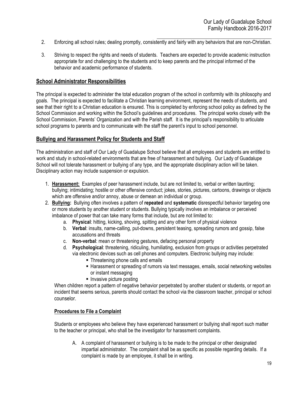- $\mathcal{L}_\text{max}$  and  $\mathcal{L}_\text{max}$  and  $\mathcal{L}_\text{max}$  and  $\mathcal{L}_\text{max}$ 2. Enforcing all school rules; dealing promptly, consistently and fairly with any behaviors that are non-Christian.
- 3. Striving to respect the rights and needs of students. Teachers are expected to provide academic instruction appropriate for and challenging to the students and to keep parents and the principal informed of the behavior and academic performance of students.

### **School Administrator Responsibilities**

The principal is expected to administer the total education program of the school in conformity with its philosophy and goals. The principal is expected to facilitate a Christian learning environment, represent the needs of students, and see that their right to a Christian education is ensured. This is completed by enforcing school policy as defined by the School Commission and working within the School's guidelines and procedures. The principal works closely with the School Commission, Parents' Organization and with the Parish staff. It is the principal's responsibility to articulate school programs to parents and to communicate with the staff the parent's input to school personnel.

# **Bullying and Harassment Policy for Students and Staff**

The administration and staff of Our Lady of Guadalupe School believe that all employees and students are entitled to work and study in school-related environments that are free of harassment and bullying. Our Lady of Guadalupe School will not tolerate harassment or bullying of any type, and the appropriate disciplinary action will be taken. Disciplinary action may include suspension or expulsion.

- 1. **Harassment:** Examples of peer harassment include, but are not limited to, verbal or written taunting; bullying; intimidating; hostile or other offensive conduct; jokes, stories, pictures, cartoons, drawings or objects which are offensive and/or annoy, abuse or demean an individual or group.
- 2. **Bullying:** Bullying often involves a pattern of **repeated** and **systematic** disrespectful behavior targeting one or more students by another student or students. Bullying typically involves an imbalance or perceived imbalance of power that can take many forms that include, but are not limited to:
	- a. **Physical**: hitting, kicking, shoving, spitting and any other form of physical violence
	- b. **Verbal**: insults, name-calling, put-downs, persistent teasing, spreading rumors and gossip, false accusations and threats
	- c. **Non-verbal**: mean or threatening gestures, defacing personal property
	- d. **Psychological**: threatening, ridiculing, humiliating, exclusion from groups or activities perpetrated via electronic devices such as cell phones and computers. Electronic bullying may include:
		- **.** Threatening phone calls and emails
		- ! Harassment or spreading of rumors via text messages, emails, social networking websites or instant messaging
		- **.** Invasive picture posting

When children report a pattern of negative behavior perpetrated by another student or students, or report an incident that seems serious, parents should contact the school via the classroom teacher, principal or school counselor.

#### **Procedures to File a Complaint**

Students or employees who believe they have experienced harassment or bullying shall report such matter to the teacher or principal, who shall be the investigator for harassment complaints.

A. A complaint of harassment or bullying is to be made to the principal or other designated impartial administrator. The complaint shall be as specific as possible regarding details. If a complaint is made by an employee, it shall be in writing.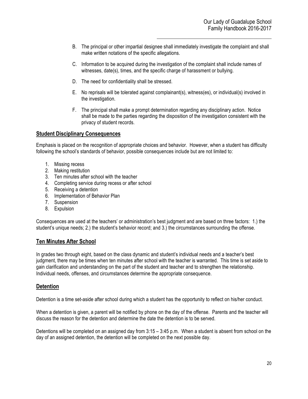- B. The principal or other impartial designee shall immediately investigate the complaint and shall make written notations of the specific allegations.
- C. Information to be acquired during the investigation of the complaint shall include names of witnesses, date(s), times, and the specific charge of harassment or bullying.
- D. The need for confidentiality shall be stressed.
- E. No reprisals will be tolerated against complainant(s), witness(es), or individual(s) involved in the investigation.
- F. The principal shall make a prompt determination regarding any disciplinary action. Notice shall be made to the parties regarding the disposition of the investigation consistent with the privacy of student records.

#### **Student Disciplinary Consequences**

Emphasis is placed on the recognition of appropriate choices and behavior. However, when a student has difficulty following the school's standards of behavior, possible consequences include but are not limited to:

- 1. Missing recess
- 2. Making restitution
- 3. Ten minutes after school with the teacher
- 4. Completing service during recess or after school
- 5. Receiving a detention
- 6. Implementation of Behavior Plan
- 7. Suspension
- 8. Expulsion

Consequences are used at the teachers' or administration's best judgment and are based on three factors: 1.) the student's unique needs; 2.) the student's behavior record; and 3.) the circumstances surrounding the offense.

#### **Ten Minutes After School**

In grades two through eight, based on the class dynamic and student's individual needs and a teacher's best judgment, there may be times when ten minutes after school with the teacher is warranted. This time is set aside to gain clarification and understanding on the part of the student and teacher and to strengthen the relationship. Individual needs, offenses, and circumstances determine the appropriate consequence.

# **Detention**

Detention is a time set-aside after school during which a student has the opportunity to reflect on his/her conduct.

When a detention is given, a parent will be notified by phone on the day of the offense. Parents and the teacher will discuss the reason for the detention and determine the date the detention is to be served.

Detentions will be completed on an assigned day from 3:15 – 3:45 p.m. When a student is absent from school on the day of an assigned detention, the detention will be completed on the next possible day.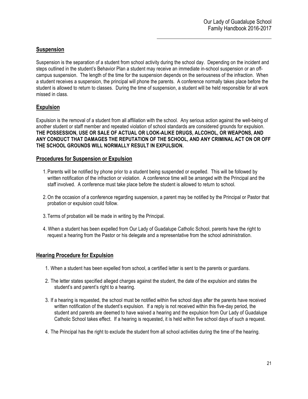# **Suspension**

Suspension is the separation of a student from school activity during the school day. Depending on the incident and steps outlined in the student's Behavior Plan a student may receive an immediate in-school suspension or an offcampus suspension. The length of the time for the suspension depends on the seriousness of the infraction. When a student receives a suspension, the principal will phone the parents. A conference normally takes place before the student is allowed to return to classes. During the time of suspension, a student will be held responsible for all work missed in class.

# **Expulsion**

Expulsion is the removal of a student from all affiliation with the school. Any serious action against the well-being of another student or staff member and repeated violation of school standards are considered grounds for expulsion. **THE POSSESSION, USE OR SALE OF ACTUAL OR LOOK-ALIKE DRUGS, ALCOHOL, OR WEAPONS, AND ANY CONDUCT THAT DAMAGES THE REPUTATION OF THE SCHOOL, AND ANY CRIMINAL ACT ON OR OFF THE SCHOOL GROUNDS WILL NORMALLY RESULT IN EXPULSION.**

#### **Procedures for Suspension or Expulsion**

- 1. Parents will be notified by phone prior to a student being suspended or expelled. This will be followed by written notification of the infraction or violation. A conference time will be arranged with the Principal and the staff involved. A conference must take place before the student is allowed to return to school.
- 2.On the occasion of a conference regarding suspension, a parent may be notified by the Principal or Pastor that probation or expulsion could follow.
- 3. Terms of probation will be made in writing by the Principal.
- 4. When a student has been expelled from Our Lady of Guadalupe Catholic School, parents have the right to request a hearing from the Pastor or his delegate and a representative from the school administration.

# **Hearing Procedure for Expulsion**

- 1. When a student has been expelled from school, a certified letter is sent to the parents or guardians.
- 2. The letter states specified alleged charges against the student, the date of the expulsion and states the student's and parent's right to a hearing.
- 3. If a hearing is requested, the school must be notified within five school days after the parents have received written notification of the student's expulsion. If a reply is not received within this five-day period, the student and parents are deemed to have waived a hearing and the expulsion from Our Lady of Guadalupe Catholic School takes effect. If a hearing is requested, it is held within five school days of such a request.
- 4. The Principal has the right to exclude the student from all school activities during the time of the hearing.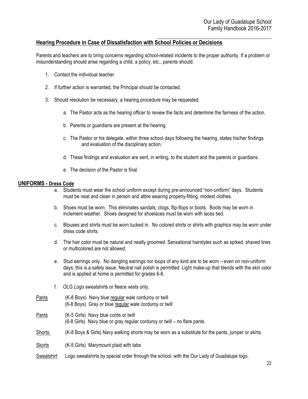# **Hearing Procedure in Case of Dissatisfaction with School Policies or Decisions**

Parents and teachers are to bring concerns regarding school-related incidents to the proper authority. If a problem or misunderstanding should arise regarding a child, a policy, etc., parents should:

- 1. Contact the individual teacher.
- 2. If further action is warranted, the Principal should be contacted.
- 3. Should resolution be necessary, a hearing procedure may be requested.
	- a. The Pastor acts as the hearing officer to review the facts and determine the fairness of the action.
	- b. Parents or guardians are present at the hearing.
	- c. The Pastor or his delegate, within three school days following the hearing, states his/her findings and evaluation of the disciplinary action.
	- d. These findings and evaluation are sent, in writing, to the student and the parents or guardians.
	- e. The decision of the Pastor is final.

#### **UNIFORMS - Dress Code**

- a. Students must wear the school uniform except during pre-announced "non-uniform" days. Students must be neat and clean in person and attire wearing properly-fitting, modest clothes.
- b. Shoes must be worn. This eliminates sandals, clogs, flip-flops or boots. Boots may be worn in inclement weather. Shoes designed for shoelaces must be worn with laces tied.
- c. Blouses and shirts must be worn tucked in. No colored shirts or shirts with graphics may be worn under dress code shirts.
- d. The hair color must be natural and neatly groomed. Sensational hairstyles such as spiked, shaved lines or multicolored are not allowed.
- e. Stud earrings only. No dangling earrings nor loops of any kind are to be worn even on non-uniform days; this is a safety issue. Neutral nail polish is permitted. Light make-up that blends with the skin color and is applied at home is permitted for grades 6-8.
- f. OLG *Logo* sweatshirts or fleece vests only.
- Pants (K-8 Boys) Navy blue regular wale corduroy or twill (6-8 Boys) Gray or blue regular wale corduroy or twill
- Pants (K-5 Girls) Navy blue cords or twill (6-8 Girls) Navy blue or gray regular corduroy or twill – no flare pants
- Shorts (K-8 Boys & Girls) Navy walking shorts may be worn as a substitute for the pants, jumper or skirts.

Skorts (K-5 Girls) Marymount plaid with tabs

Sweatshirt Logo sweatshirts by special order through the school, with the Our Lady of Guadalupe logo.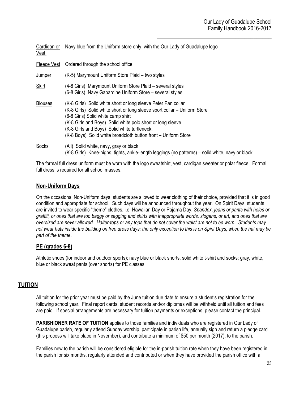| Cardigan or<br>Vest | Navy blue from the Uniform store only, with the Our Lady of Guadalupe logo                                                                                                                                                                                                                                                                                       |
|---------------------|------------------------------------------------------------------------------------------------------------------------------------------------------------------------------------------------------------------------------------------------------------------------------------------------------------------------------------------------------------------|
| Fleece Vest         | Ordered through the school office.                                                                                                                                                                                                                                                                                                                               |
| Jumper              | (K-5) Marymount Uniform Store Plaid – two styles                                                                                                                                                                                                                                                                                                                 |
| Skirt               | (4-8 Girls) Marymount Uniform Store Plaid – several styles<br>(6-8 Girls) Navy Gabardine Uniform Store – several styles                                                                                                                                                                                                                                          |
| <b>Blouses</b>      | (K-8 Girls) Solid white short or long sleeve Peter Pan collar<br>(K-8 Girls) Solid white short or long sleeve sport collar – Uniform Store<br>(6-8 Girls) Solid white camp shirt<br>(K-8 Girls and Boys) Solid white polo short or long sleeve<br>(K-8 Girls and Boys) Solid white turtleneck.<br>(K-8 Boys) Solid white broadcloth button front - Uniform Store |
| Socks               | (All) Solid white, navy, gray or black<br>(K-8 Girls) Knee-highs, tights, ankle-length leggings (no patterns) – solid white, navy or black                                                                                                                                                                                                                       |

The formal full dress uniform must be worn with the logo sweatshirt, vest, cardigan sweater or polar fleece. Formal full dress is required for all school masses.

# **Non-Uniform Days**

On the occasional Non-Uniform days, students are allowed to wear clothing of their choice, provided that it is in good condition and appropriate for school. Such days will be announced throughout the year. On Spirit Days, students are invited to wear specific "theme" clothes, i.e. Hawaiian Day or Pajama Day. *Spandex, jeans or pants with holes or graffiti, or ones that are too baggy or sagging and shirts with inappropriate words, slogans, or art, and ones that are oversized are never allowed. Halter-tops or any tops that do not cover the waist are not to be worn. Students may not wear hats inside the building on free dress days; the only exception to this is on Spirit Days, when the hat may be part of the theme.*

# **PE (grades 6-8)**

Athletic shoes (for indoor and outdoor sports); navy blue or black shorts, solid white t-shirt and socks; gray, white, blue or black sweat pants (over shorts) for PE classes.

# **TUITION**

All tuition for the prior year must be paid by the June tuition due date to ensure a student's registration for the following school year. Final report cards, student records and/or diplomas will be withheld until all tuition and fees are paid. If special arrangements are necessary for tuition payments or exceptions, please contact the principal.

**PARISHIONER RATE OF TUITION** applies to those families and individuals who are registered in Our Lady of Guadalupe parish, regularly attend Sunday worship, participate in parish life, annually sign and return a pledge card (this process will take place in November), and contribute a minimum of \$50 per month (2017), to the parish.

Families new to the parish will be considered eligible for the in-parish tuition rate when they have been registered in the parish for six months, regularly attended and contributed or when they have provided the parish office with a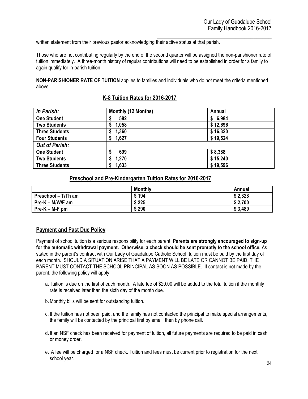$\mathcal{L}_\text{max}$  and  $\mathcal{L}_\text{max}$  and  $\mathcal{L}_\text{max}$  and  $\mathcal{L}_\text{max}$ written statement from their previous pastor acknowledging their active status at that parish.

Those who are not contributing regularly by the end of the second quarter will be assigned the non-parishioner rate of tuition immediately. A three-month history of regular contributions will need to be established in order for a family to again qualify for in-parish tuition.

**NON-PARISHIONER RATE OF TUITION** applies to families and individuals who do not meet the criteria mentioned above.

# **K-8 Tuition Rates for 2016-2017**

| In Parish:            | Monthly (12 Months) | Annual   |
|-----------------------|---------------------|----------|
| <b>One Student</b>    | 582                 | \$6,984  |
| <b>Two Students</b>   | 1,058               | \$12,696 |
| <b>Three Students</b> | 1,360               | \$16,320 |
| <b>Four Students</b>  | 1,627<br>S.         | \$19,524 |
| <b>Out of Parish:</b> |                     |          |
| <b>One Student</b>    | 699                 | \$8,388  |
| <b>Two Students</b>   | 1,270               | \$15,240 |
| <b>Three Students</b> | 1,633               | \$19,596 |

#### **Preschool and Pre-Kindergarten Tuition Rates for 2016-2017**

|                     | <b>Monthly</b> | Annual  |
|---------------------|----------------|---------|
| Preschool - T/Th am | \$194          | \$2,328 |
| Pre-K – M/W/F am    | \$225          | \$2,700 |
| $Pre-K - M-F$ pm    | \$290          | \$3,480 |

# **Payment and Past Due Policy**

Payment of school tuition is a serious responsibility for each parent. **Parents are strongly encouraged to sign-up for the automatic withdrawal payment. Otherwise, a check should be sent promptly to the school office.** As stated in the parent's contract with Our Lady of Guadalupe Catholic School, tuition must be paid by the first day of each month. SHOULD A SITUATION ARISE THAT A PAYMENT WILL BE LATE OR CANNOT BE PAID, THE PARENT MUST CONTACT THE SCHOOL PRINCIPAL AS SOON AS POSSIBLE. If contact is not made by the parent, the following policy will apply:

- a. Tuition is due on the first of each month. A late fee of \$20.00 will be added to the total tuition if the monthly rate is received later than the sixth day of the month due.
- b.Monthly bills will be sent for outstanding tuition.
- c. If the tuition has not been paid, and the family has not contacted the principal to make special arrangements, the family will be contacted by the principal first by email, then by phone call.
- d. If an NSF check has been received for payment of tuition, all future payments are required to be paid in cash or money order.
- e. A fee will be charged for a NSF check. Tuition and fees must be current prior to registration for the next school year.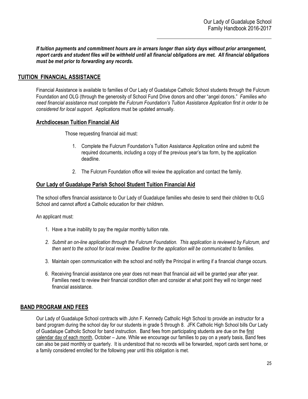*If tuition payments and commitment hours are in arrears longer than sixty days without prior arrangement, report cards and student files will be withheld until all financial obligations are met. All financial obligations must be met prior to forwarding any records.*

# **TUITION FINANCIAL ASSISTANCE**

Financial Assistance is available to families of Our Lady of Guadalupe Catholic School students through the Fulcrum Foundation and OLG (through the generosity of School Fund Drive donors and other "angel donors." *Families who need financial assistance must complete the Fulcrum Foundation's Tuition Assistance Application first in order to be considered for local support.* Applications must be updated annually.

# **Archdiocesan Tuition Financial Aid**

Those requesting financial aid must:

- 1. Complete the Fulcrum Foundation's Tuition Assistance Application online and submit the required documents, including a copy of the previous year's tax form, by the application deadline.
- 2. The Fulcrum Foundation office will review the application and contact the family.

# **Our Lady of Guadalupe Parish School Student Tuition Financial Aid**

The school offers financial assistance to Our Lady of Guadalupe families who desire to send their children to OLG School and cannot afford a Catholic education for their children.

An applicant must:

- 1. Have a true inability to pay the regular monthly tuition rate.
- *2. Submit an on-line application through the Fulcrum Foundation. This application is reviewed by Fulcrum, and then sent to the school for local review. Deadline for the application will be communicated to families.*
- 3. Maintain open communication with the school and notify the Principal in writing if a financial change occurs.
- 6. Receiving financial assistance one year does not mean that financial aid will be granted year after year. Families need to review their financial condition often and consider at what point they will no longer need financial assistance.

# **BAND PROGRAM AND FEES**

Our Lady of Guadalupe School contracts with John F. Kennedy Catholic High School to provide an instructor for a band program during the school day for our students in grade 5 through 8. JFK Catholic High School bills Our Lady of Guadalupe Catholic School for band instruction. Band fees from participating students are due on the first calendar day of each month, October – June. While we encourage our families to pay on a yearly basis, Band fees can also be paid monthly or quarterly. It is understood that no records will be forwarded, report cards sent home, or a family considered enrolled for the following year until this obligation is met.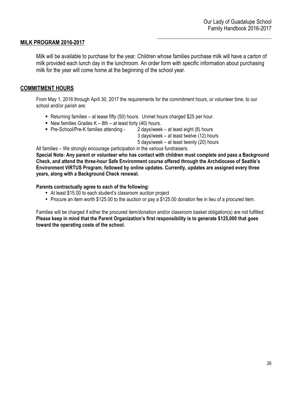# **MILK PROGRAM 2016-2017**

Milk will be available to purchase for the year. Children whose families purchase milk will have a carton of milk provided each lunch day in the lunchroom. An order form with specific information about purchasing milk for the year will come home at the beginning of the school year.

# **COMMITMENT HOURS**

From May 1, 2016 through April 30, 2017 the requirements for the commitment hours, or volunteer time, to our school and/or parish are:

- ! Returning families at lease fifty (50) hours. Unmet hours charged \$25 per hour.
- **New families Grades K 8th at least forty (40) hours.**
- Pre-School/Pre-K families attending 2 days/week at least eight (8) hours

3 days/week – at least twelve (12) hours

5 days/week – at least twenty (20) hours

All families – We strongly encourage participation in the various fundraisers.

**Special Note: Any parent or volunteer who has contact with children must complete and pass a Background Check, and attend the three-hour Safe Environment course offered through the Archdiocese of Seattle's Environment VIRTUS Program, followed by online updates. Currently, updates are assigned every three years, along with a Background Check renewal.**

**Parents contractually agree to each of the following:**

- At least \$15.00 to each student's classroom auction project
- Procure an item worth \$125.00 to the auction or pay a \$125.00 donation fee in lieu of a procured item.

Families will be charged if either the procured item/donation and/or classroom basket obligation(s) are not fulfilled. **Please keep in mind that the Parent Organization's first responsibility is to generate \$125,000 that goes toward the operating costs of the school.**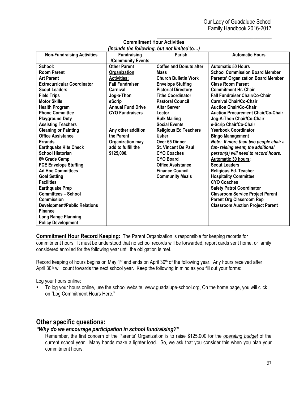| (include the following, but not limited to) |                          |                                |                                           |  |  |
|---------------------------------------------|--------------------------|--------------------------------|-------------------------------------------|--|--|
| <b>Non-Fundraising Activities</b>           | <b>Fundraising</b>       | Parish                         | <b>Automatic Hours</b>                    |  |  |
|                                             | /Community Events        |                                |                                           |  |  |
| School:                                     | <b>Other Parent</b>      | <b>Coffee and Donuts after</b> | <b>Automatic 50 Hours</b>                 |  |  |
| <b>Room Parent</b>                          | Organization             | <b>Mass</b>                    | <b>School Commission Board Member</b>     |  |  |
| <b>Art Parent</b>                           | <b>Activities:</b>       | <b>Church Bulletin Work</b>    | <b>Parents' Organization Board Member</b> |  |  |
| <b>Extracurricular Coordinator</b>          | <b>Fall Fundraiser</b>   | <b>Envelope Stuffing</b>       | <b>Class Room Parent</b>                  |  |  |
| <b>Scout Leaders</b>                        | Carnival                 | <b>Pictorial Directory</b>     | <b>Commitment Hr. Chair</b>               |  |  |
| <b>Field Trips</b>                          | Jog-a-Thon               | <b>Tithe Coordinator</b>       | <b>Fall Fundraiser Chair/Co-Chair</b>     |  |  |
| <b>Motor Skills</b>                         | eScrip                   | <b>Pastoral Council</b>        | <b>Carnival Chair/Co-Chair</b>            |  |  |
| <b>Health Program</b>                       | <b>Annual Fund Drive</b> | <b>Altar Server</b>            | <b>Auction Chair/Co-Chair</b>             |  |  |
| <b>Phone Committee</b>                      | <b>CYO Fundraisers</b>   | Lector                         | <b>Auction Procurement Chair/Co-Chair</b> |  |  |
| <b>Playground Duty</b>                      |                          | <b>Bulk Mailing</b>            | Jog-A-Thon Chair/Co-Chair                 |  |  |
| <b>Assisting Teachers</b>                   |                          | <b>Social Events</b>           | e-Scrip Chair/Co-Chair                    |  |  |
| <b>Cleaning or Painting</b>                 | Any other addition       | <b>Religious Ed Teachers</b>   | <b>Yearbook Coordinator</b>               |  |  |
| <b>Office Assistance</b>                    | the Parent               | <b>Usher</b>                   | <b>Bingo Management</b>                   |  |  |
| <b>Errands</b>                              | Organization may         | Over 65 Dinner                 | Note: If more than two people chair a     |  |  |
| <b>Earthquake Kits Check</b>                | add to fulfill the       | <b>St. Vincent De Paul</b>     | fun- raising event, the additional        |  |  |
| <b>School Historian</b>                     | \$125,000.               | <b>CYO Coaches</b>             | person(s) will need to record hours.      |  |  |
| 6th Grade Camp                              |                          | <b>CYO Board</b>               | <b>Automatic 30 hours:</b>                |  |  |
| <b>FCE Envelope Stuffing</b>                |                          | <b>Office Assistance</b>       | <b>Scout Leaders</b>                      |  |  |
| <b>Ad Hoc Committees</b>                    |                          | <b>Finance Council</b>         | <b>Religious Ed. Teacher</b>              |  |  |
| <b>Goal Setting</b>                         |                          | <b>Community Meals</b>         | <b>Hospitality Committee</b>              |  |  |
| <b>Facilities</b>                           |                          |                                | <b>CYO Coaches</b>                        |  |  |
| <b>Earthquake Prep</b>                      |                          |                                | <b>Safety Patrol Coordinator</b>          |  |  |
| <b>Committees - School</b>                  |                          |                                | <b>Classroom Service Project Parent</b>   |  |  |
| Commission                                  |                          |                                | <b>Parent Org Classroom Rep</b>           |  |  |
| <b>Development/Public Relations</b>         |                          |                                | <b>Classroom Auction Project Parent</b>   |  |  |
| <b>Finance</b>                              |                          |                                |                                           |  |  |
| <b>Long Range Planning</b>                  |                          |                                |                                           |  |  |
| <b>Policy Development</b>                   |                          |                                |                                           |  |  |

### $\mathcal{L}_\text{max}$  and  $\mathcal{L}_\text{max}$  and  $\mathcal{L}_\text{max}$  and  $\mathcal{L}_\text{max}$ **Commitment Hour Activities**

**Commitment Hour Record Keeping:** The Parent Organization is responsible for keeping records for commitment hours. It must be understood that no school records will be forwarded, report cards sent home, or family considered enrolled for the following year until the obligation is met.

Record keeping of hours begins on May 1<sup>st</sup> and ends on April 30<sup>th</sup> of the following year. Any hours received after April 30<sup>th</sup> will count towards the next school year. Keep the following in mind as you fill out your forms:

Log your hours online:

To log your hours online, use the school website, www.guadalupe-school.org, On the home page, you will click on "Log Commitment Hours Here."

# **Other specific questions:**

# *"Why do we encourage participation in school fundraising?"*

Remember, the first concern of the Parents' Organization is to raise \$125,000 for the *operating budget* of the current school year. Many hands make a lighter load. So, we ask that you consider this when you plan your commitment hours.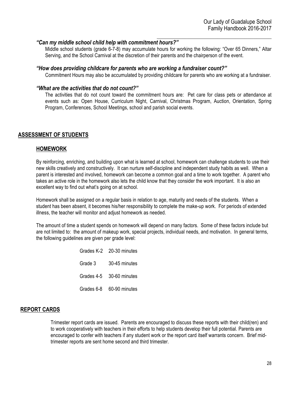#### *"Can my middle school child help with commitment hours?"*

Middle school students (grade 6-7-8) may accumulate hours for working the following: "Over 65 Dinners," Altar Serving, and the School Carnival at the discretion of their parents and the chairperson of the event.

#### *"How does providing childcare for parents who are working a fundraiser count?"*

Commitment Hours may also be accumulated by providing childcare for parents who are working at a fundraiser.

#### *"What are the activities that do not count?"*

The activities that do not count toward the commitment hours are: Pet care for class pets or attendance at events such as: Open House, Curriculum Night, Carnival, Christmas Program, Auction, Orientation, Spring Program, Conferences, School Meetings, school and parish social events.

# **ASSESSMENT OF STUDENTS**

#### **HOMEWORK**

By reinforcing, enriching, and building upon what is learned at school, homework can challenge students to use their new skills creatively and constructively. It can nurture self-discipline and independent study habits as well. When a parent is interested and involved, homework can become a common goal and a time to work together. A parent who takes an active role in the homework also lets the child know that they consider the work important. It is also an excellent way to find out what's going on at school.

Homework shall be assigned on a regular basis in relation to age, maturity and needs of the students. When a student has been absent, it becomes his/her responsibility to complete the make-up work. For periods of extended illness, the teacher will monitor and adjust homework as needed.

The amount of time a student spends on homework will depend on many factors. Some of these factors include but are not limited to: the amount of makeup work, special projects, individual needs, and motivation. In general terms, the following guidelines are given per grade level:

> Grades K-2 20-30 minutes Grade 3 30-45 minutes Grades 4-5 30-60 minutes Grades 6-8 60-90 minutes

# **REPORT CARDS**

Trimester report cards are issued. Parents are encouraged to discuss these reports with their child(ren) and to work cooperatively with teachers in their efforts to help students develop their full potential. Parents are encouraged to confer with teachers if any student work or the report card itself warrants concern. Brief midtrimester reports are sent home second and third trimester.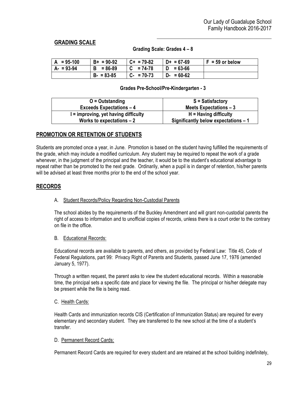# **GRADING SCALE**

#### **Grading Scale: Grades 4 – 8**

| $A = 95-100$ | $B+ = 90-92$  | $C+ = 79-82$ | $D+ = 67-69$     | $F = 59$ or below |
|--------------|---------------|--------------|------------------|-------------------|
| $A - 93-94$  | $B = 86-89$   | $C = 74-78$  | $= 63 - 66$<br>D |                   |
|              | $B - 83 - 85$ | $C - 70-73$  | $D - 50-62$      |                   |

#### **Grades Pre-School/Pre-Kindergarten - 3**

| $O =$ Outstanding                               | $S = S$ atisfactory                  |
|-------------------------------------------------|--------------------------------------|
| <b>Exceeds Expectations - 4</b>                 | Meets Expectations $-3$              |
| $\mathsf{I}$ = improving, yet having difficulty | $H =$ Having difficulty              |
| Works to expectations $-2$                      | Significantly below expectations - 1 |

# **PROMOTION OR RETENTION OF STUDENTS**

Students are promoted once a year, in June. Promotion is based on the student having fulfilled the requirements of the grade, which may include a modified curriculum. Any student may be required to repeat the work of a grade whenever, in the judgment of the principal and the teacher, it would be to the student's educational advantage to repeat rather than be promoted to the next grade. Ordinarily, when a pupil is in danger of retention, his/her parents will be advised at least three months prior to the end of the school year.

#### **RECORDS**

#### A. Student Records/Policy Regarding Non-Custodial Parents

The school abides by the requirements of the Buckley Amendment and will grant non-custodial parents the right of access to information and to unofficial copies of records, unless there is a court order to the contrary on file in the office.

#### B. Educational Records:

Educational records are available to parents, and others, as provided by Federal Law: Title 45, Code of Federal Regulations, part 99: Privacy Right of Parents and Students, passed June 17, 1976 (amended January 5, 1977).

Through a written request, the parent asks to view the student educational records. Within a reasonable time, the principal sets a specific date and place for viewing the file. The principal or his/her delegate may be present while the file is being read.

#### C. Health Cards:

Health Cards and immunization records CIS (Certification of Immunization Status) are required for every elementary and secondary student. They are transferred to the new school at the time of a student's transfer.

#### D. Permanent Record Cards:

Permanent Record Cards are required for every student and are retained at the school building indefinitely,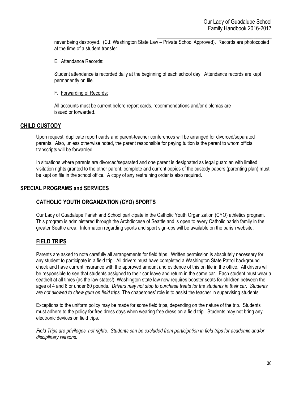$\mathcal{L}_\text{max}$  and  $\mathcal{L}_\text{max}$  and  $\mathcal{L}_\text{max}$  and  $\mathcal{L}_\text{max}$ never being destroyed. (C.f. Washington State Law – Private School Approved). Records are photocopied at the time of a student transfer.

E. Attendance Records:

Student attendance is recorded daily at the beginning of each school day. Attendance records are kept permanently on file.

F. Forwarding of Records:

All accounts must be current before report cards, recommendations and/or diplomas are issued or forwarded.

#### **CHILD CUSTODY**

Upon request, duplicate report cards and parent-teacher conferences will be arranged for divorced/separated parents. Also, unless otherwise noted, the parent responsible for paying tuition is the parent to whom official transcripts will be forwarded.

In situations where parents are divorced/separated and one parent is designated as legal guardian with limited visitation rights granted to the other parent, complete and current copies of the custody papers (parenting plan) must be kept on file in the school office. A copy of any restraining order is also required.

# **SPECIAL PROGRAMS and SERVICES**

# **CATHOLIC YOUTH ORGANZATION (CYO) SPORTS**

Our Lady of Guadalupe Parish and School participate in the Catholic Youth Organization (CYO) athletics program. This program is administered through the Archdiocese of Seattle and is open to every Catholic parish family in the greater Seattle area. Information regarding sports and sport sign-ups will be available on the parish website.

# **FIELD TRIPS**

Parents are asked to note carefully all arrangements for field trips. Written permission is absolutely necessary for any student to participate in a field trip. All drivers must have completed a Washington State Patrol background check and have current insurance with the approved amount and evidence of this on file in the office. All drivers will be responsible to see that students assigned to their car leave and return in the same car. Each student must wear a seatbelt at all times (as the law states!) Washington state law now requires booster seats for children between the ages of 4 and 6 or under 60 pounds. *Drivers may not stop to purchase treats for the students in their car. Students are not allowed to chew gum on field trips.* The chaperones' role is to assist the teacher in supervising students.

Exceptions to the uniform policy may be made for some field trips, depending on the nature of the trip. Students must adhere to the policy for free dress days when wearing free dress on a field trip. Students may not bring any electronic devices on field trips.

*Field Trips are privileges, not rights. Students can be excluded from participation in field trips for academic and/or disciplinary reasons.*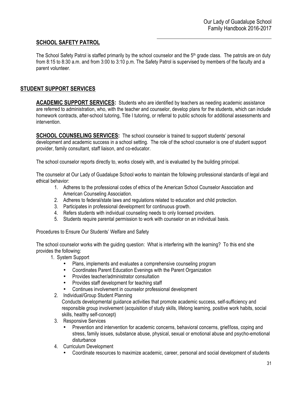# **SCHOOL SAFETY PATROL**

The School Safety Patrol is staffed primarily by the school counselor and the 5<sup>th</sup> grade class. The patrols are on duty from 8:15 to 8:30 a.m. and from 3:00 to 3:10 p.m. The Safety Patrol is supervised by members of the faculty and a parent volunteer.

# **STUDENT SUPPORT SERVICES**

**ACADEMIC SUPPORT SERVICES:** Students who are identified by teachers as needing academic assistance are referred to administration, who, with the teacher and counselor, develop plans for the students, which can include homework contracts, after-school tutoring, Title I tutoring, or referral to public schools for additional assessments and intervention.

**SCHOOL COUNSELING SERVICES:** The school counselor is trained to support students' personal development and academic success in a school setting. The role of the school counselor is one of student support provider, family consultant, staff liaison, and co-educator.

The school counselor reports directly to, works closely with, and is evaluated by the building principal.

The counselor at Our Lady of Guadalupe School works to maintain the following professional standards of legal and ethical behavior:

- 1. Adheres to the professional codes of ethics of the American School Counselor Association and American Counseling Association.
- 2. Adheres to federal/state laws and regulations related to education and child protection.
- 3. Participates in professional development for continuous growth.
- 4. Refers students with individual counseling needs to only licensed providers.
- 5. Students require parental permission to work with counselor on an individual basis.

Procedures to Ensure Our Students' Welfare and Safety

The school counselor works with the guiding question: What is interfering with the learning? To this end she provides the following:

- 1. System Support
	- Plans, implements and evaluates a comprehensive counseling program
	- Coordinates Parent Education Evenings with the Parent Organization
	- Provides teacher/administrator consultation
	- Provides staff development for teaching staff
	- Continues involvement in counselor professional development
	- 2. Individual/Group Student Planning

Conducts developmental guidance activities that promote academic success, self-sufficiency and responsible group involvement (acquisition of study skills, lifelong learning, positive work habits, social skills, healthy self-concept)

- 3. Responsive Services
	- Prevention and intervention for academic concerns, behavioral concerns, grief/loss, coping and stress, family issues, substance abuse, physical, sexual or emotional abuse and psycho-emotional disturbance
- 4. Curriculum Development
	- Coordinate resources to maximize academic, career, personal and social development of students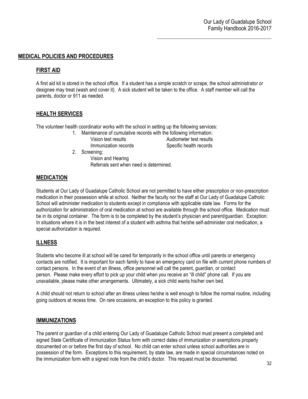# **MEDICAL POLICIES AND PROCEDURES**

# **FIRST AID**

A first aid kit is stored in the school office. If a student has a simple scratch or scrape, the school administrator or designee may treat (wash and cover it). A sick student will be taken to the office. A staff member will call the parents, doctor or 911 as needed.

# **HEALTH SERVICES**

The volunteer health coordinator works with the school in setting up the following services:

- 1. Maintenance of cumulative records with the following information: Vision test results Audiometer test results Immunization records Specific health records
- 2. Screening:

Vision and Hearing Referrals sent when need is determined.

# **MEDICATION**

Students at Our Lady of Guadalupe Catholic School are not permitted to have either prescription or non-prescription medication in their possession while at school. Neither the faculty nor the staff at Our Lady of Guadalupe Catholic School will administer medication to students except in compliance with applicable state law. Forms for the authorization for administration of oral medication at school are available through the school office. Medication must be in its original container. The form is to be completed by the student's physician and parent/guardian. Exception: In situations where it is in the best interest of a student with asthma that he/she self-administer oral medication, a special authorization is required.

# **ILLNESS**

Students who become ill at school will be cared for temporarily in the school office until parents or emergency contacts are notified. It is important for each family to have an emergency card on file with current phone numbers of contact persons. In the event of an illness, office personnel will call the parent, guardian, or contact person. Please make every effort to pick up your child when you receive an "ill child" phone call. If you are unavailable, please make other arrangements. Ultimately, a sick child wants his/her own bed.

A child should not return to school after an illness unless he/she is well enough to follow the normal routine, including going outdoors at recess time. On rare occasions, an exception to this policy is granted.

#### **IMMUNIZATIONS**

The parent or guardian of a child entering Our Lady of Guadalupe Catholic School must present a completed and signed State Certificate of Immunization Status form with correct dates of immunization or exemptions properly documented on or before the first day of school. No child can enter school unless school authorities are in possession of the form. Exceptions to this requirement, by state law, are made in special circumstances noted on the immunization form with a signed note from the child's doctor. This request must be documented.